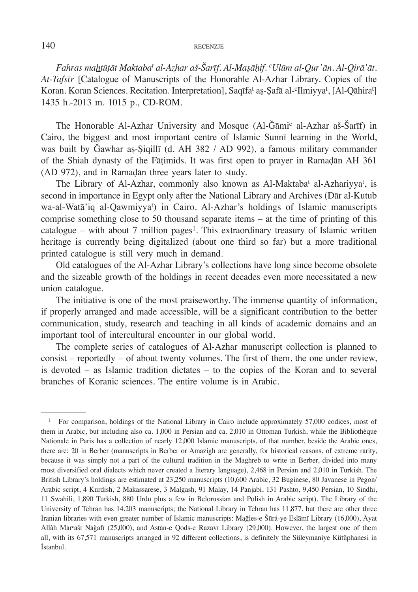*Fahras mahṭūṭāt Maktaba<sup>t</sup> al-Azhar aš-Šarīf. Al-Maṣāḥif. <sup>c</sup>Ulūm al-Qur'ān. Al-Qirā'āt. At-Tafsīr* [Catalogue of Manuscripts of the Honorable Al-Azhar Library. Copies of the Koran. Koran Sciences. Recitation. Interpretation], Saqīfa<sup>t</sup> aș-Șafā al-<sup>c</sup>Ilmiyya<sup>t</sup>, [Al-Qāhira<sup>t</sup>] 1435 h.-2013 m. 1015 p., CD-ROM.

The Honorable Al-Azhar University and Mosque (Al-Ğāmi<sup>c</sup> al-Azhar aš-Šarīf) in Cairo, the biggest and most important centre of Islamic Sunnī learning in the World, was built by Ğawhar aṣ-Ṣiqillī (d. AH 382 / AD 992), a famous military commander of the Shiah dynasty of the Fāṭimids. It was first open to prayer in Ramaḍān AH 361 (AD 972), and in Ramaḍān three years later to study.

The Library of Al-Azhar, commonly also known as Al-Maktaba<sup>t</sup> al-Azhariyya<sup>t</sup>, is second in importance in Egypt only after the National Library and Archives (Dār al-Kutub wa-al-Watā'iq al-Qawmiyyat ) in Cairo. Al-Azhar's holdings of Islamic manuscripts comprise something close to 50 thousand separate items – at the time of printing of this catalogue – with about 7 million pages<sup>1</sup>. This extraordinary treasury of Islamic written heritage is currently being digitalized (about one third so far) but a more traditional printed catalogue is still very much in demand.

Old catalogues of the Al-Azhar Library's collections have long since become obsolete and the sizeable growth of the holdings in recent decades even more necessitated a new union catalogue.

The initiative is one of the most praiseworthy. The immense quantity of information, if properly arranged and made accessible, will be a significant contribution to the better communication, study, research and teaching in all kinds of academic domains and an important tool of intercultural encounter in our global world.

The complete series of catalogues of Al-Azhar manuscript collection is planned to consist – reportedly – of about twenty volumes. The first of them, the one under review, is devoted – as Islamic tradition dictates – to the copies of the Koran and to several branches of Koranic sciences. The entire volume is in Arabic.

<sup>&</sup>lt;sup>1</sup> For comparison, holdings of the National Library in Cairo include approximately 57,000 codices, most of them in Arabic, but including also ca. 1,000 in Persian and ca. 2,010 in Ottoman Turkish, while the Bibliothèque Nationale in Paris has a collection of nearly 12,000 Islamic manuscripts, of that number, beside the Arabic ones, there are: 20 in Berber (manuscripts in Berber or Amazigh are generally, for historical reasons, of extreme rarity, because it was simply not a part of the cultural tradition in the Maghreb to write in Berber, divided into many most diversified oral dialects which never created a literary language), 2,468 in Persian and 2,010 in Turkish. The British Library's holdings are estimated at 23,250 manuscripts (10,600 Arabic, 32 Buginese, 80 Javanese in Pegon/ Arabic script, 4 Kurdish, 2 Makassarese, 3 Malgash, 91 Malay, 14 Panjabi, 131 Pashto, 9,450 Persian, 10 Sindhi, 11 Swahili, 1,890 Turkish, 880 Urdu plus a few in Belorussian and Polish in Arabic script). The Library of the University of Tehran has 14,203 manuscripts; the National Library in Tehran has 11,877, but there are other three Iranian libraries with even greater number of Islamic manuscripts: Mağles-e Šūrá-ye Eslāmī Library (16,000), Āyat Allàh Marcašī Nağafī (25,000), and Astān-e Qods-e Razavī Library (29,000). However, the largest one of them all, with its 67,571 manuscripts arranged in 92 different collections, is definitely the Süleymaniye Kütüphanesi in İstanbul.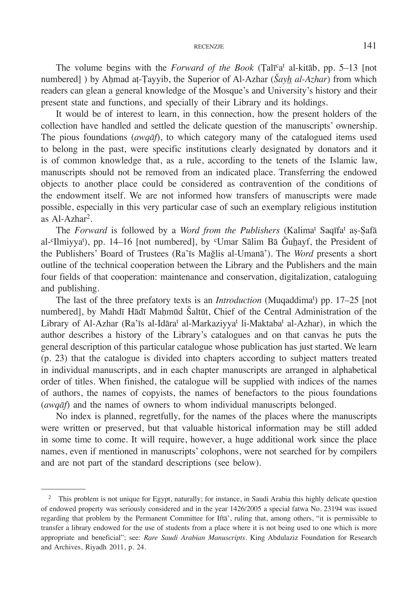### RECENZJE 141

The volume begins with the *Forward of the Book* (Talī<sup>c</sup>a<sup>t</sup> al-kitāb, pp. 5–13 [not numbered] ) by Ahmad at-Tayyib, the Superior of Al-Azhar (*Šayh al-Azhar*) from which readers can glean a general knowledge of the Mosque's and University's history and their present state and functions, and specially of their Library and its holdings.

It would be of interest to learn, in this connection, how the present holders of the collection have handled and settled the delicate question of the manuscripts' ownership. The pious foundations (*awqāf*), to which category many of the catalogued items used to belong in the past, were specific institutions clearly designated by donators and it is of common knowledge that, as a rule, according to the tenets of the Islamic law, manuscripts should not be removed from an indicated place. Transferring the endowed objects to another place could be considered as contravention of the conditions of the endowment itself. We are not informed how transfers of manuscripts were made possible, especially in this very particular case of such an exemplary religious institution as Al-Azhar2.

The *Forward* is followed by a *Word from the Publishers* (Kalimat Saqīfat aṣ-Ṣafā al-<sup>c</sup>Ilmiyya<sup>t</sup>), pp. 14–16 [not numbered], by <sup>c</sup>Umar Sālim Bā Ğuhayf, the President of the Publishers' Board of Trustees (Ra'īs Mağlis al-Umanā'). The *Word* presents a short outline of the technical cooperation between the Library and the Publishers and the main four fields of that cooperation: maintenance and conservation, digitalization, cataloguing and publishing.

The last of the three prefatory texts is an *Introduction* (Muqaddimat ) pp. 17–25 [not numbered], by Mahdī Hādī Maḥmūd Šaltūt, Chief of the Central Administration of the Library of Al-Azhar (Ra'īs al-Idāra<sup>t</sup> al-Markaziyya<sup>t</sup> li-Maktaba<sup>t</sup> al-Azhar), in which the author describes a history of the Library's catalogues and on that canvas he puts the general description of this particular catalogue whose publication has just started. We learn (p. 23) that the catalogue is divided into chapters according to subject matters treated in individual manuscripts, and in each chapter manuscripts are arranged in alphabetical order of titles. When finished, the catalogue will be supplied with indices of the names of authors, the names of copyists, the names of benefactors to the pious foundations (*awqāf*) and the names of owners to whom individual manuscripts belonged.

No index is planned, regretfully, for the names of the places where the manuscripts were written or preserved, but that valuable historical information may be still added in some time to come. It will require, however, a huge additional work since the place names, even if mentioned in manuscripts' colophons, were not searched for by compilers and are not part of the standard descriptions (see below).

<sup>&</sup>lt;sup>2</sup> This problem is not unique for Egypt, naturally; for instance, in Saudi Arabia this highly delicate question of endowed property was seriously considered and in the year 1426/2005 a special fatwa No. 23194 was issued regarding that problem by the Permanent Committee for Iftā', ruling that, among others, "it is permissible to transfer a library endowed for the use of students from a place where it is not being used to one which is more appropriate and beneficial"; see: *Rare Saudi Arabian Manuscripts*. King Abdulaziz Foundation for Research and Archives, Riyadh 2011, p. 24.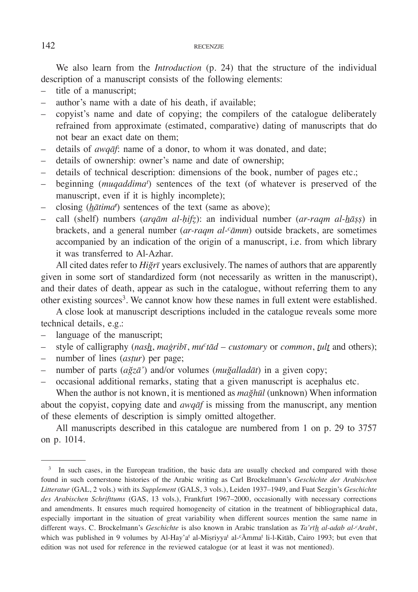We also learn from the *Introduction* (p. 24) that the structure of the individual description of a manuscript consists of the following elements:

- title of a manuscript;
- author's name with a date of his death, if available;
- copyist's name and date of copying; the compilers of the catalogue deliberately refrained from approximate (estimated, comparative) dating of manuscripts that do not bear an exact date on them;
- details of *awqāf*: name of a donor, to whom it was donated, and date;
- details of ownership: owner's name and date of ownership;
- details of technical description: dimensions of the book, number of pages etc.;
- beginning (*muqaddimat* ) sentences of the text (of whatever is preserved of the manuscript, even if it is highly incomplete);
- closing (*hātima<sup>t</sup>* ) sentences of the text (same as above);
- call (shelf) numbers (*arqām al-ḥifẓ*): an individual number (*ar-raqm al-hāṣṣ*) in brackets, and a general number (*ar-raqm al-cāmm*) outside brackets, are sometimes accompanied by an indication of the origin of a manuscript, i.e. from which library it was transferred to Al-Azhar.

All cited dates refer to *Hiğrī* years exclusively. The names of authors that are apparently given in some sort of standardized form (not necessarily as written in the manuscript), and their dates of death, appear as such in the catalogue, without referring them to any other existing sources<sup>3</sup>. We cannot know how these names in full extent were established.

A close look at manuscript descriptions included in the catalogue reveals some more technical details, e.g.:

- language of the manuscript;
- style of calligraphy (*nash*, *maġribī*, *muctād customary* or *common*, *tult* and others);
- number of lines (*asṭur*) per page;
- number of parts (*ağzā'*) and/or volumes (*muğalladāt*) in a given copy;
- occasional additional remarks, stating that a given manuscript is acephalus etc.

When the author is not known, it is mentioned as *mağhūl* (unknown) When information about the copyist, copying date and *awqāf* is missing from the manuscript, any mention of these elements of description is simply omitted altogether.

All manuscripts described in this catalogue are numbered from 1 on p. 29 to 3757 on p. 1014.

<sup>&</sup>lt;sup>3</sup> In such cases, in the European tradition, the basic data are usually checked and compared with those found in such cornerstone histories of the Arabic writing as Carl Brockelmann's *Geschichte der Arabischen Litteratur* (GAL, 2 vols.) with its *Supplement* (GALS, 3 vols.), Leiden 1937–1949, and Fuat Sezgin's *Geschichte des Arabischen Schrifttums* (GAS, 13 vols.), Frankfurt 1967–2000, occasionally with necessary corrections and amendments. It ensures much required homogeneity of citation in the treatment of bibliographical data, especially important in the situation of great variability when different sources mention the same name in different ways. C. Brockelmann's *Geschichte* is also known in Arabic translation as *Ta'rīh al-adab al-cArabī*, which was published in 9 volumes by Al-Hay'a<sup>t</sup> al-Miṣriyya<sup>t</sup> al-°Āmma<sup>t</sup> li-l-Kitāb, Cairo 1993; but even that edition was not used for reference in the reviewed catalogue (or at least it was not mentioned).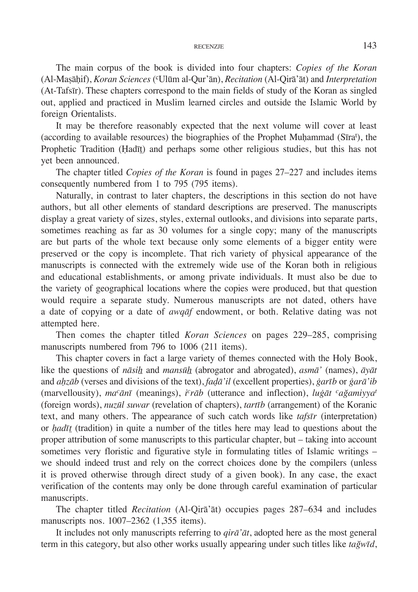The main corpus of the book is divided into four chapters: *Copies of the Koran* (Al-Maṣāḥif), *Koran Sciences* (cUlūm al-Qur'ān), *Recitation* (Al-Qirā'āt) and *Interpretation* (At-Tafsīr). These chapters correspond to the main fields of study of the Koran as singled out, applied and practiced in Muslim learned circles and outside the Islamic World by foreign Orientalists.

It may be therefore reasonably expected that the next volume will cover at least (according to available resources) the biographies of the Prophet Muḥammad (Sīrat ), the Prophetic Tradition (Ḥadīt̄) and perhaps some other religious studies, but this has not yet been announced.

The chapter titled *Copies of the Koran* is found in pages 27–227 and includes items consequently numbered from 1 to 795 (795 items).

Naturally, in contrast to later chapters, the descriptions in this section do not have authors, but all other elements of standard descriptions are preserved. The manuscripts display a great variety of sizes, styles, external outlooks, and divisions into separate parts, sometimes reaching as far as 30 volumes for a single copy; many of the manuscripts are but parts of the whole text because only some elements of a bigger entity were preserved or the copy is incomplete. That rich variety of physical appearance of the manuscripts is connected with the extremely wide use of the Koran both in religious and educational establishments, or among private individuals. It must also be due to the variety of geographical locations where the copies were produced, but that question would require a separate study. Numerous manuscripts are not dated, others have a date of copying or a date of *awqāf* endowment, or both. Relative dating was not attempted here.

Then comes the chapter titled *Koran Sciences* on pages 229–285, comprising manuscripts numbered from 796 to 1006 (211 items).

This chapter covers in fact a large variety of themes connected with the Holy Book, like the questions of *nāsih* and *mansūh* (abrogator and abrogated), *asmā'* (names), *āyāt* and *aḥzāb* (verses and divisions of the text), *faḍā'il* (excellent properties), *ġarīb* or *ġarā'ib* (marvellousity), *macānī* (meanings), *i crāb* (utterance and inflection), *luġāt cağamiyya<sup>t</sup>* (foreign words), *nuzūl suwar* (revelation of chapters), *tartīb* (arrangement) of the Koranic text, and many others. The appearance of such catch words like *tafsīr* (interpretation) or *ḥadīt* (tradition) in quite a number of the titles here may lead to questions about the proper attribution of some manuscripts to this particular chapter, but – taking into account sometimes very floristic and figurative style in formulating titles of Islamic writings – we should indeed trust and rely on the correct choices done by the compilers (unless it is proved otherwise through direct study of a given book). In any case, the exact verification of the contents may only be done through careful examination of particular manuscripts.

The chapter titled *Recitation* (Al-Qirā'āt) occupies pages 287–634 and includes manuscripts nos. 1007–2362 (1,355 items).

It includes not only manuscripts referring to *qirā'āt*, adopted here as the most general term in this category, but also other works usually appearing under such titles like *tağwīd*,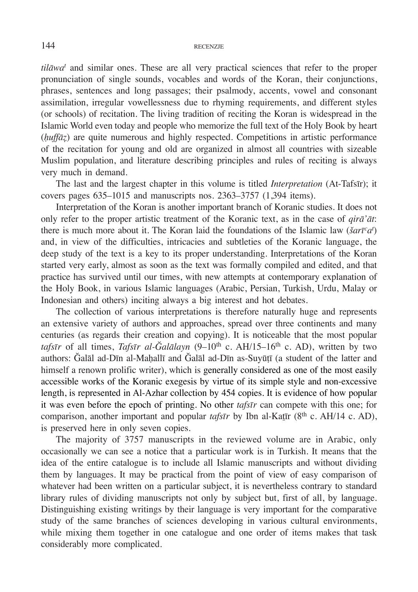*tilāwa<sup>t</sup>* and similar ones. These are all very practical sciences that refer to the proper pronunciation of single sounds, vocables and words of the Koran, their conjunctions, phrases, sentences and long passages; their psalmody, accents, vowel and consonant assimilation, irregular vowellessness due to rhyming requirements, and different styles (or schools) of recitation. The living tradition of reciting the Koran is widespread in the Islamic World even today and people who memorize the full text of the Holy Book by heart (*ḥuffāẓ*) are quite numerous and highly respected. Competitions in artistic performance of the recitation for young and old are organized in almost all countries with sizeable Muslim population, and literature describing principles and rules of reciting is always very much in demand.

The last and the largest chapter in this volume is titled *Interpretation* (At-Tafsīr); it covers pages 635–1015 and manuscripts nos. 2363–3757 (1,394 items).

Interpretation of the Koran is another important branch of Koranic studies. It does not only refer to the proper artistic treatment of the Koranic text, as in the case of *qirā'āt*: there is much more about it. The Koran laid the foundations of the Islamic law (*šarīcat* ) and, in view of the difficulties, intricacies and subtleties of the Koranic language, the deep study of the text is a key to its proper understanding. Interpretations of the Koran started very early, almost as soon as the text was formally compiled and edited, and that practice has survived until our times, with new attempts at contemporary explanation of the Holy Book, in various Islamic languages (Arabic, Persian, Turkish, Urdu, Malay or Indonesian and others) inciting always a big interest and hot debates.

The collection of various interpretations is therefore naturally huge and represents an extensive variety of authors and approaches, spread over three continents and many centuries (as regards their creation and copying). It is noticeable that the most popular *tafsīr* of all times, *Tafsīr al-Ğalālayn* (9–10th c. AH/15–16th c. AD), written by two authors: Ğalāl ad-Dīn al-Maḥallī and Ğalāl ad-Dīn as-Suyūṭī (a student of the latter and himself a renown prolific writer), which is generally considered as one of the most easily accessible works of the Koranic exegesis by virtue of its simple style and non-excessive length, is represented in Al-Azhar collection by 454 copies. It is evidence of how popular it was even before the epoch of printing. No other *tafsīr* can compete with this one; for comparison, another important and popular *tafsīr* by Ibn al-Katīr (8<sup>th</sup> c. AH/14 c. AD), is preserved here in only seven copies.

The majority of 3757 manuscripts in the reviewed volume are in Arabic, only occasionally we can see a notice that a particular work is in Turkish. It means that the idea of the entire catalogue is to include all Islamic manuscripts and without dividing them by languages. It may be practical from the point of view of easy comparison of whatever had been written on a particular subject, it is nevertheless contrary to standard library rules of dividing manuscripts not only by subject but, first of all, by language. Distinguishing existing writings by their language is very important for the comparative study of the same branches of sciences developing in various cultural environments, while mixing them together in one catalogue and one order of items makes that task considerably more complicated.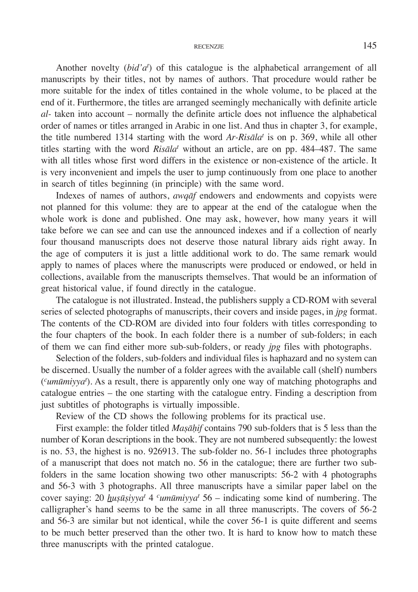Another novelty (*bid'a<sup>t</sup>* ) of this catalogue is the alphabetical arrangement of all manuscripts by their titles, not by names of authors. That procedure would rather be more suitable for the index of titles contained in the whole volume, to be placed at the end of it. Furthermore, the titles are arranged seemingly mechanically with definite article *al-* taken into account – normally the definite article does not influence the alphabetical order of names or titles arranged in Arabic in one list. And thus in chapter 3, for example, the title numbered 1314 starting with the word *Ar-Risāla<sup>t</sup>* is on p. 369, while all other titles starting with the word *Risāla<sup>t</sup>* without an article, are on pp. 484–487. The same with all titles whose first word differs in the existence or non-existence of the article. It is very inconvenient and impels the user to jump continuously from one place to another in search of titles beginning (in principle) with the same word.

Indexes of names of authors, *awqāf* endowers and endowments and copyists were not planned for this volume: they are to appear at the end of the catalogue when the whole work is done and published. One may ask, however, how many years it will take before we can see and can use the announced indexes and if a collection of nearly four thousand manuscripts does not deserve those natural library aids right away. In the age of computers it is just a little additional work to do. The same remark would apply to names of places where the manuscripts were produced or endowed, or held in collections, available from the manuscripts themselves. That would be an information of great historical value, if found directly in the catalogue.

The catalogue is not illustrated. Instead, the publishers supply a CD-ROM with several series of selected photographs of manuscripts, their covers and inside pages, in *jpg* format. The contents of the CD-ROM are divided into four folders with titles corresponding to the four chapters of the book. In each folder there is a number of sub-folders; in each of them we can find either more sub-sub-folders, or ready *jpg* files with photographs.

Selection of the folders, sub-folders and individual files is haphazard and no system can be discerned. Usually the number of a folder agrees with the available call (shelf) numbers (*cumūmiyya<sup>t</sup>* ). As a result, there is apparently only one way of matching photographs and catalogue entries – the one starting with the catalogue entry. Finding a description from just subtitles of photographs is virtually impossible.

Review of the CD shows the following problems for its practical use.

First example: the folder titled *Maṣāḥif* contains 790 sub-folders that is 5 less than the number of Koran descriptions in the book. They are not numbered subsequently: the lowest is no. 53, the highest is no. 926913. The sub-folder no. 56-1 includes three photographs of a manuscript that does not match no. 56 in the catalogue; there are further two subfolders in the same location showing two other manuscripts: 56-2 with 4 photographs and 56-3 with 3 photographs. All three manuscripts have a similar paper label on the cover saying: 20 *huṣūṣiyya<sup>t</sup>* 4 *<sup>c</sup>umūmiyya<sup>t</sup>* 56 – indicating some kind of numbering. The calligrapher's hand seems to be the same in all three manuscripts. The covers of 56-2 and 56-3 are similar but not identical, while the cover 56-1 is quite different and seems to be much better preserved than the other two. It is hard to know how to match these three manuscripts with the printed catalogue.